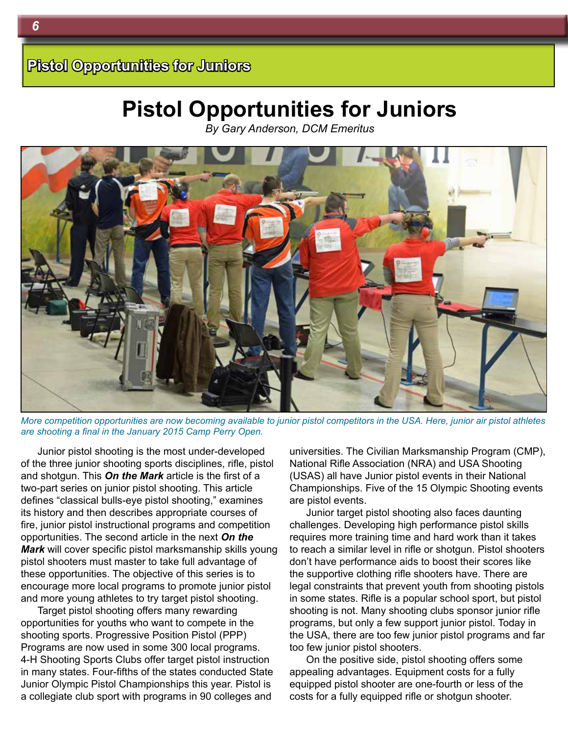*By Gary Anderson, DCM Emeritus*



*More competition opportunities are now becoming available to junior pistol competitors in the USA. Here, junior air pistol athletes are shooting a final in the January 2015 Camp Perry Open.*

Junior pistol shooting is the most under-developed of the three junior shooting sports disciplines, rifle, pistol and shotgun. This *On the Mark* article is the first of a two-part series on junior pistol shooting. This article defines "classical bulls-eye pistol shooting," examines its history and then describes appropriate courses of fire, junior pistol instructional programs and competition opportunities. The second article in the next *On the Mark* will cover specific pistol marksmanship skills young pistol shooters must master to take full advantage of these opportunities. The objective of this series is to encourage more local programs to promote junior pistol and more young athletes to try target pistol shooting.

Target pistol shooting offers many rewarding opportunities for youths who want to compete in the shooting sports. Progressive Position Pistol (PPP) Programs are now used in some 300 local programs. 4-H Shooting Sports Clubs offer target pistol instruction in many states. Four-fifths of the states conducted State Junior Olympic Pistol Championships this year. Pistol is a collegiate club sport with programs in 90 colleges and

universities. The Civilian Marksmanship Program (CMP), National Rifle Association (NRA) and USA Shooting (USAS) all have Junior pistol events in their National Championships. Five of the 15 Olympic Shooting events are pistol events.

Junior target pistol shooting also faces daunting challenges. Developing high performance pistol skills requires more training time and hard work than it takes to reach a similar level in rifle or shotgun. Pistol shooters don't have performance aids to boost their scores like the supportive clothing rifle shooters have. There are legal constraints that prevent youth from shooting pistols in some states. Rifle is a popular school sport, but pistol shooting is not. Many shooting clubs sponsor junior rifle programs, but only a few support junior pistol. Today in the USA, there are too few junior pistol programs and far too few junior pistol shooters.

On the positive side, pistol shooting offers some appealing advantages. Equipment costs for a fully equipped pistol shooter are one-fourth or less of the costs for a fully equipped rifle or shotgun shooter.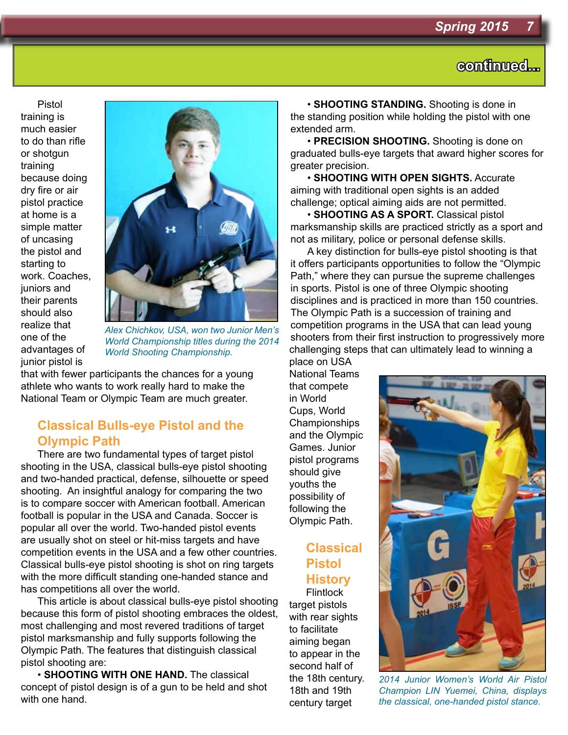Pistol training is much easier to do than rifle or shotgun training because doing dry fire or air pistol practice at home is a simple matter of uncasing the pistol and starting to work. Coaches, juniors and their parents should also realize that one of the advantages of junior pistol is



*Alex Chichkov, USA, won two Junior Men's World Championship titles during the 2014 World Shooting Championship.*

that with fewer participants the chances for a young athlete who wants to work really hard to make the National Team or Olympic Team are much greater.

### **Classical Bulls-eye Pistol and the Olympic Path**

There are two fundamental types of target pistol shooting in the USA, classical bulls-eye pistol shooting and two-handed practical, defense, silhouette or speed shooting. An insightful analogy for comparing the two is to compare soccer with American football. American football is popular in the USA and Canada. Soccer is popular all over the world. Two-handed pistol events are usually shot on steel or hit-miss targets and have competition events in the USA and a few other countries. Classical bulls-eye pistol shooting is shot on ring targets with the more difficult standing one-handed stance and has competitions all over the world.

This article is about classical bulls-eye pistol shooting because this form of pistol shooting embraces the oldest, most challenging and most revered traditions of target pistol marksmanship and fully supports following the Olympic Path. The features that distinguish classical pistol shooting are:

• **SHOOTING WITH ONE HAND.** The classical concept of pistol design is of a gun to be held and shot with one hand.

• **SHOOTING STANDING.** Shooting is done in the standing position while holding the pistol with one extended arm.

• **PRECISION SHOOTING.** Shooting is done on graduated bulls-eye targets that award higher scores for greater precision.

• **SHOOTING WITH OPEN SIGHTS.** Accurate aiming with traditional open sights is an added challenge; optical aiming aids are not permitted.

• **SHOOTING AS A SPORT.** Classical pistol marksmanship skills are practiced strictly as a sport and not as military, police or personal defense skills.

A key distinction for bulls-eye pistol shooting is that it offers participants opportunities to follow the "Olympic Path," where they can pursue the supreme challenges in sports. Pistol is one of three Olympic shooting disciplines and is practiced in more than 150 countries. The Olympic Path is a succession of training and competition programs in the USA that can lead young shooters from their first instruction to progressively more challenging steps that can ultimately lead to winning a place on USA

National Teams that compete in World Cups, World Championships and the Olympic Games. Junior pistol programs should give youths the possibility of following the Olympic Path.

#### **Classical Pistol History Flintlock**

target pistols with rear sights to facilitate aiming began to appear in the second half of the 18th century. 18th and 19th century target



*2014 Junior Women's World Air Pistol Champion LIN Yuemei, China, displays the classical, one-handed pistol stance.*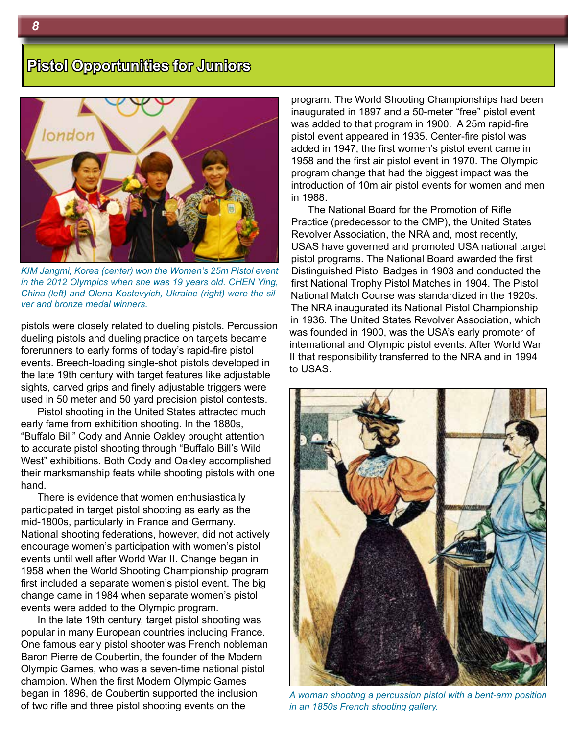

*KIM Jangmi, Korea (center) won the Women's 25m Pistol event in the 2012 Olympics when she was 19 years old. CHEN Ying, China (left) and Olena Kostevyich, Ukraine (right) were the silver and bronze medal winners.*

pistols were closely related to dueling pistols. Percussion dueling pistols and dueling practice on targets became forerunners to early forms of today's rapid-fire pistol events. Breech-loading single-shot pistols developed in the late 19th century with target features like adjustable sights, carved grips and finely adjustable triggers were used in 50 meter and 50 yard precision pistol contests.

Pistol shooting in the United States attracted much early fame from exhibition shooting. In the 1880s, "Buffalo Bill" Cody and Annie Oakley brought attention to accurate pistol shooting through "Buffalo Bill's Wild West" exhibitions. Both Cody and Oakley accomplished their marksmanship feats while shooting pistols with one hand.

There is evidence that women enthusiastically participated in target pistol shooting as early as the mid-1800s, particularly in France and Germany. National shooting federations, however, did not actively encourage women's participation with women's pistol events until well after World War II. Change began in 1958 when the World Shooting Championship program first included a separate women's pistol event. The big change came in 1984 when separate women's pistol events were added to the Olympic program.

In the late 19th century, target pistol shooting was popular in many European countries including France. One famous early pistol shooter was French nobleman Baron Pierre de Coubertin, the founder of the Modern Olympic Games, who was a seven-time national pistol champion. When the first Modern Olympic Games began in 1896, de Coubertin supported the inclusion of two rifle and three pistol shooting events on the

program. The World Shooting Championships had been inaugurated in 1897 and a 50-meter "free" pistol event was added to that program in 1900. A 25m rapid-fire pistol event appeared in 1935. Center-fire pistol was added in 1947, the first women's pistol event came in 1958 and the first air pistol event in 1970. The Olympic program change that had the biggest impact was the introduction of 10m air pistol events for women and men in 1988.

The National Board for the Promotion of Rifle Practice (predecessor to the CMP), the United States Revolver Association, the NRA and, most recently, USAS have governed and promoted USA national target pistol programs. The National Board awarded the first Distinguished Pistol Badges in 1903 and conducted the first National Trophy Pistol Matches in 1904. The Pistol National Match Course was standardized in the 1920s. The NRA inaugurated its National Pistol Championship in 1936. The United States Revolver Association, which was founded in 1900, was the USA's early promoter of international and Olympic pistol events. After World War II that responsibility transferred to the NRA and in 1994 to USAS.



*A woman shooting a percussion pistol with a bent-arm position in an 1850s French shooting gallery.*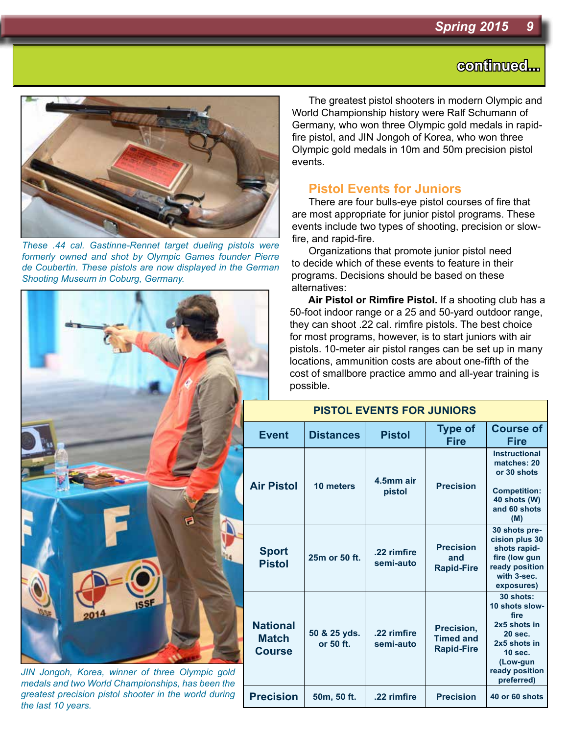

*These .44 cal. Gastinne-Rennet target dueling pistols were formerly owned and shot by Olympic Games founder Pierre de Coubertin. These pistols are now displayed in the German Shooting Museum in Coburg, Germany.*

*JIN Jongoh, Korea, winner of three Olympic gold medals and two World Championships, has been the greatest precision pistol shooter in the world during the last 10 years.*

The greatest pistol shooters in modern Olympic and World Championship history were Ralf Schumann of Germany, who won three Olympic gold medals in rapidfire pistol, and JIN Jongoh of Korea, who won three Olympic gold medals in 10m and 50m precision pistol events.

#### **Pistol Events for Juniors**

There are four bulls-eye pistol courses of fire that are most appropriate for junior pistol programs. These events include two types of shooting, precision or slowfire, and rapid-fire.

Organizations that promote junior pistol need to decide which of these events to feature in their programs. Decisions should be based on these alternatives:

**Air Pistol or Rimfire Pistol.** If a shooting club has a 50-foot indoor range or a 25 and 50-yard outdoor range, they can shoot .22 cal. rimfire pistols. The best choice for most programs, however, is to start juniors with air pistols. 10-meter air pistol ranges can be set up in many locations, ammunition costs are about one-fifth of the cost of smallbore practice ammo and all-year training is possible.

| <b>PISTOL EVENTS FOR JUNIORS</b>                 |                           |                          |                                                     |                                                                                                                                              |
|--------------------------------------------------|---------------------------|--------------------------|-----------------------------------------------------|----------------------------------------------------------------------------------------------------------------------------------------------|
| <b>Event</b>                                     | <b>Distances</b>          | <b>Pistol</b>            | <b>Type of</b><br><b>Fire</b>                       | <b>Course of</b><br>Fire                                                                                                                     |
| <b>Air Pistol</b>                                | 10 meters                 | 4.5mm air<br>pistol      | <b>Precision</b>                                    | <b>Instructional</b><br>matches: 20<br>or 30 shots<br><b>Competition:</b><br>40 shots (W)<br>and 60 shots<br>(M)                             |
| <b>Sport</b><br><b>Pistol</b>                    | 25m or 50 ft.             | .22 rimfire<br>semi-auto | <b>Precision</b><br>and<br><b>Rapid-Fire</b>        | 30 shots pre-<br>cision plus 30<br>shots rapid-<br>fire (low gun<br>ready position<br>with 3-sec.<br>exposures)                              |
| <b>National</b><br><b>Match</b><br><b>Course</b> | 50 & 25 yds.<br>or 50 ft. | .22 rimfire<br>semi-auto | Precision,<br><b>Timed and</b><br><b>Rapid-Fire</b> | 30 shots:<br>10 shots slow-<br>fire<br>2x5 shots in<br>20 sec.<br>2x5 shots in<br><b>10 sec.</b><br>(Low-gun<br>ready position<br>preferred) |
| <b>Precision</b>                                 | 50m, 50 ft.               | .22 rimfire              | <b>Precision</b>                                    | 40 or 60 shots                                                                                                                               |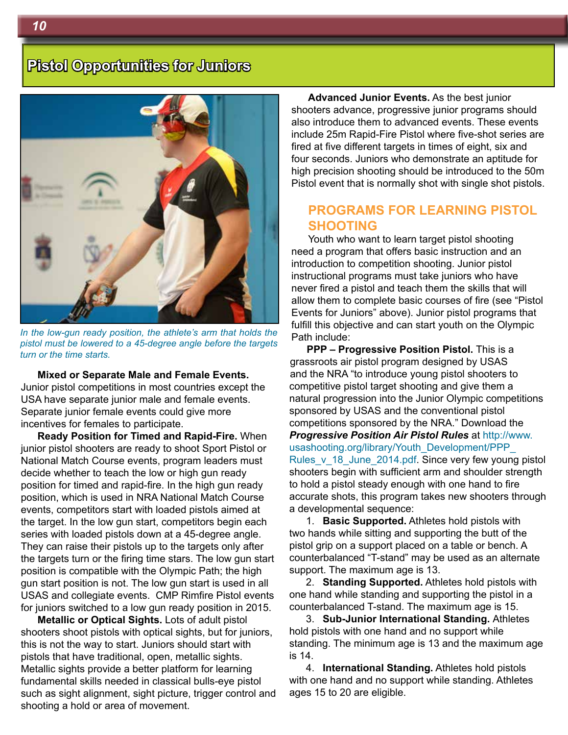

*In the low-gun ready position, the athlete's arm that holds the pistol must be lowered to a 45-degree angle before the targets turn or the time starts.*

**Mixed or Separate Male and Female Events.** Junior pistol competitions in most countries except the USA have separate junior male and female events. Separate junior female events could give more incentives for females to participate.

**Ready Position for Timed and Rapid-Fire.** When junior pistol shooters are ready to shoot Sport Pistol or National Match Course events, program leaders must decide whether to teach the low or high gun ready position for timed and rapid-fire. In the high gun ready position, which is used in NRA National Match Course events, competitors start with loaded pistols aimed at the target. In the low gun start, competitors begin each series with loaded pistols down at a 45-degree angle. They can raise their pistols up to the targets only after the targets turn or the firing time stars. The low gun start position is compatible with the Olympic Path; the high gun start position is not. The low gun start is used in all USAS and collegiate events. CMP Rimfire Pistol events for juniors switched to a low gun ready position in 2015.

**Metallic or Optical Sights.** Lots of adult pistol shooters shoot pistols with optical sights, but for juniors, this is not the way to start. Juniors should start with pistols that have traditional, open, metallic sights. Metallic sights provide a better platform for learning fundamental skills needed in classical bulls-eye pistol such as sight alignment, sight picture, trigger control and shooting a hold or area of movement.

**Advanced Junior Events.** As the best junior shooters advance, progressive junior programs should also introduce them to advanced events. These events include 25m Rapid-Fire Pistol where five-shot series are fired at five different targets in times of eight, six and four seconds. Juniors who demonstrate an aptitude for high precision shooting should be introduced to the 50m Pistol event that is normally shot with single shot pistols.

#### **PROGRAMS FOR LEARNING PISTOL SHOOTING**

Youth who want to learn target pistol shooting need a program that offers basic instruction and an introduction to competition shooting. Junior pistol instructional programs must take juniors who have never fired a pistol and teach them the skills that will allow them to complete basic courses of fire (see "Pistol Events for Juniors" above). Junior pistol programs that fulfill this objective and can start youth on the Olympic Path include:

**PPP – Progressive Position Pistol.** This is a grassroots air pistol program designed by USAS and the NRA "to introduce young pistol shooters to competitive pistol target shooting and give them a natural progression into the Junior Olympic competitions sponsored by USAS and the conventional pistol competitions sponsored by the NRA." Download the *Progressive Position Air Pistol Rules* at http://www. usashooting.org/library/Youth\_Development/PPP Rules\_v\_18\_June\_2014.pdf. Since very few young pistol shooters begin with sufficient arm and shoulder strength to hold a pistol steady enough with one hand to fire accurate shots, this program takes new shooters through a developmental sequence:

1. **Basic Supported.** Athletes hold pistols with two hands while sitting and supporting the butt of the pistol grip on a support placed on a table or bench. A counterbalanced "T-stand" may be used as an alternate support. The maximum age is 13.

2. **Standing Supported.** Athletes hold pistols with one hand while standing and supporting the pistol in a counterbalanced T-stand. The maximum age is 15.

3. **Sub-Junior International Standing.** Athletes hold pistols with one hand and no support while standing. The minimum age is 13 and the maximum age is 14.

4. **International Standing.** Athletes hold pistols with one hand and no support while standing. Athletes ages 15 to 20 are eligible.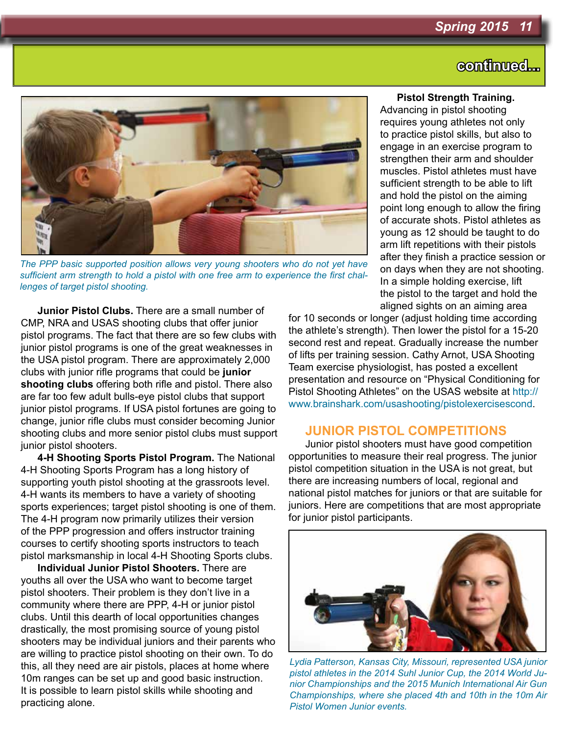

*The PPP basic supported position allows very young shooters who do not yet have sufficient arm strength to hold a pistol with one free arm to experience the first challenges of target pistol shooting.*

**Junior Pistol Clubs.** There are a small number of CMP, NRA and USAS shooting clubs that offer junior pistol programs. The fact that there are so few clubs with junior pistol programs is one of the great weaknesses in the USA pistol program. There are approximately 2,000 clubs with junior rifle programs that could be **junior shooting clubs** offering both rifle and pistol. There also are far too few adult bulls-eye pistol clubs that support junior pistol programs. If USA pistol fortunes are going to change, junior rifle clubs must consider becoming Junior shooting clubs and more senior pistol clubs must support junior pistol shooters.

**4-H Shooting Sports Pistol Program.** The National 4-H Shooting Sports Program has a long history of supporting youth pistol shooting at the grassroots level. 4-H wants its members to have a variety of shooting sports experiences; target pistol shooting is one of them. The 4-H program now primarily utilizes their version of the PPP progression and offers instructor training courses to certify shooting sports instructors to teach pistol marksmanship in local 4-H Shooting Sports clubs.

**Individual Junior Pistol Shooters.** There are youths all over the USA who want to become target pistol shooters. Their problem is they don't live in a community where there are PPP, 4-H or junior pistol clubs. Until this dearth of local opportunities changes drastically, the most promising source of young pistol shooters may be individual juniors and their parents who are willing to practice pistol shooting on their own. To do this, all they need are air pistols, places at home where 10m ranges can be set up and good basic instruction. It is possible to learn pistol skills while shooting and practicing alone.

#### **Pistol Strength Training.**

Advancing in pistol shooting requires young athletes not only to practice pistol skills, but also to engage in an exercise program to strengthen their arm and shoulder muscles. Pistol athletes must have sufficient strength to be able to lift and hold the pistol on the aiming point long enough to allow the firing of accurate shots. Pistol athletes as young as 12 should be taught to do arm lift repetitions with their pistols after they finish a practice session or on days when they are not shooting. In a simple holding exercise, lift the pistol to the target and hold the aligned sights on an aiming area

for 10 seconds or longer (adjust holding time according the athlete's strength). Then lower the pistol for a 15-20 second rest and repeat. Gradually increase the number of lifts per training session. Cathy Arnot, USA Shooting Team exercise physiologist, has posted a excellent presentation and resource on "Physical Conditioning for Pistol Shooting Athletes" on the USAS website at http:// www.brainshark.com/usashooting/pistolexercisescond.

#### **JUNIOR PISTOL COMPETITIONS**

Junior pistol shooters must have good competition opportunities to measure their real progress. The junior pistol competition situation in the USA is not great, but there are increasing numbers of local, regional and national pistol matches for juniors or that are suitable for juniors. Here are competitions that are most appropriate for junior pistol participants.



*Lydia Patterson, Kansas City, Missouri, represented USA junior pistol athletes in the 2014 Suhl Junior Cup, the 2014 World Junior Championships and the 2015 Munich International Air Gun Championships, where she placed 4th and 10th in the 10m Air Pistol Women Junior events.*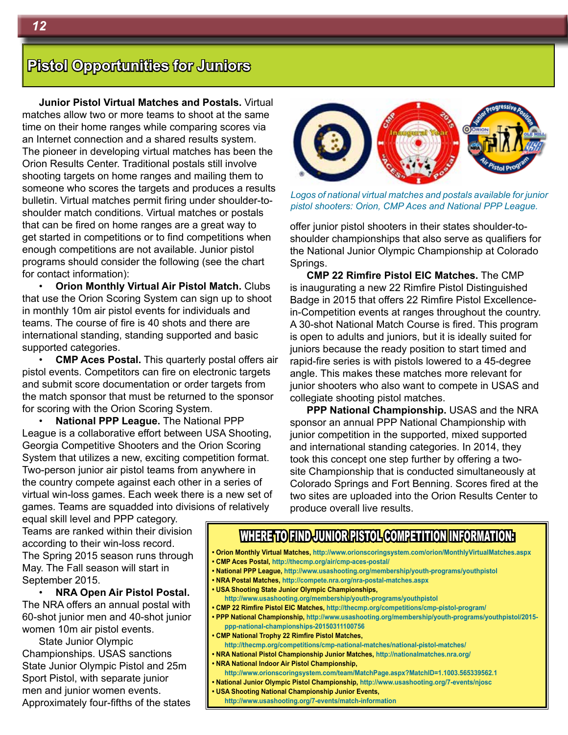**Junior Pistol Virtual Matches and Postals.** Virtual matches allow two or more teams to shoot at the same time on their home ranges while comparing scores via an Internet connection and a shared results system. The pioneer in developing virtual matches has been the Orion Results Center. Traditional postals still involve shooting targets on home ranges and mailing them to someone who scores the targets and produces a results bulletin. Virtual matches permit firing under shoulder-toshoulder match conditions. Virtual matches or postals that can be fired on home ranges are a great way to get started in competitions or to find competitions when enough competitions are not available. Junior pistol programs should consider the following (see the chart for contact information):

• **Orion Monthly Virtual Air Pistol Match.** Clubs that use the Orion Scoring System can sign up to shoot in monthly 10m air pistol events for individuals and teams. The course of fire is 40 shots and there are international standing, standing supported and basic supported categories.

• **CMP Aces Postal.** This quarterly postal offers air pistol events. Competitors can fire on electronic targets and submit score documentation or order targets from the match sponsor that must be returned to the sponsor for scoring with the Orion Scoring System.

• **National PPP League.** The National PPP League is a collaborative effort between USA Shooting, Georgia Competitive Shooters and the Orion Scoring System that utilizes a new, exciting competition format. Two-person junior air pistol teams from anywhere in the country compete against each other in a series of virtual win-loss games. Each week there is a new set of games. Teams are squadded into divisions of relatively

*Logos of national virtual matches and postals available for junior pistol shooters: Orion, CMP Aces and National PPP League.*

offer junior pistol shooters in their states shoulder-toshoulder championships that also serve as qualifiers for the National Junior Olympic Championship at Colorado Springs.

**CMP 22 Rimfire Pistol EIC Matches.** The CMP is inaugurating a new 22 Rimfire Pistol Distinguished Badge in 2015 that offers 22 Rimfire Pistol Excellencein-Competition events at ranges throughout the country. A 30-shot National Match Course is fired. This program is open to adults and juniors, but it is ideally suited for juniors because the ready position to start timed and rapid-fire series is with pistols lowered to a 45-degree angle. This makes these matches more relevant for junior shooters who also want to compete in USAS and collegiate shooting pistol matches.

**PPP National Championship.** USAS and the NRA sponsor an annual PPP National Championship with junior competition in the supported, mixed supported and international standing categories. In 2014, they took this concept one step further by offering a twosite Championship that is conducted simultaneously at Colorado Springs and Fort Benning. Scores fired at the two sites are uploaded into the Orion Results Center to produce overall live results.

equal skill level and PPP category. Teams are ranked within their division according to their win-loss record. The Spring 2015 season runs through May. The Fall season will start in September 2015.

• **NRA Open Air Pistol Postal.**  The NRA offers an annual postal with 60-shot junior men and 40-shot junior women 10m air pistol events.

State Junior Olympic Championships. USAS sanctions State Junior Olympic Pistol and 25m Sport Pistol, with separate junior men and junior women events. Approximately four-fifths of the states

### WHERE TO FIND JUNIOR PISTOL COMPETITION INFORMATION:

- **Orion Monthly Virtual Matches, http://www.orionscoringsystem.com/orion/MonthlyVirtualMatches.aspx**
- **CMP Aces Postal, http://thecmp.org/air/cmp-aces-postal/**
- **National PPP League, http://www.usashooting.org/membership/youth-programs/youthpistol**
- **NRA Postal Matches, http://compete.nra.org/nra-postal-matches.aspx**
- **USA Shooting State Junior Olympic Championships,** 
	- **http://www.usashooting.org/membership/youth-programs/youthpistol**
- **CMP 22 Rimfire Pistol EIC Matches, http://thecmp.org/competitions/cmp-pistol-program/**
- **PPP National Championship, http://www.usashooting.org/membership/youth-programs/youthpistol/2015 ppp-national-championships-20150311100756**
- **CMP National Trophy 22 Rimfire Pistol Matches,**
- **http://thecmp.org/competitions/cmp-national-matches/national-pistol-matches/ • NRA National Pistol Championship Junior Matches, http://nationalmatches.nra.org/**
- **NRA National Indoor Air Pistol Championship,**
- **http://www.orionscoringsystem.com/team/MatchPage.aspx?MatchID=1.1003.565339562.1**
- **National Junior Olympic Pistol Championship, http://www.usashooting.org/7-events/njosc**
- **USA Shooting National Championship Junior Events,** 
	- **http://www.usashooting.org/7-events/match-information**